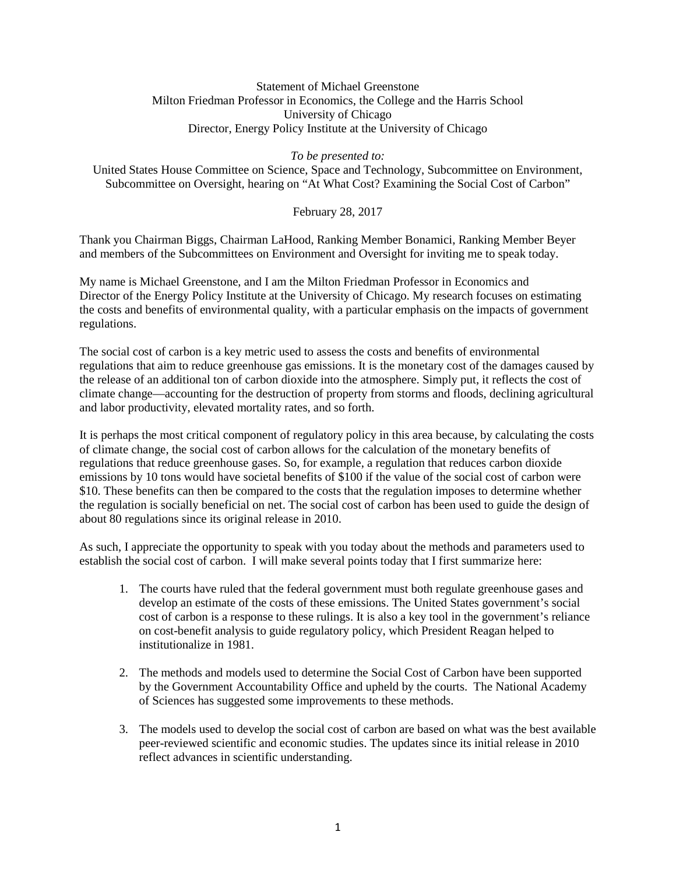#### Statement of Michael Greenstone Milton Friedman Professor in Economics, the College and the Harris School University of Chicago Director, Energy Policy Institute at the University of Chicago

*To be presented to:*

United States House Committee on Science, Space and Technology, Subcommittee on Environment, Subcommittee on Oversight, hearing on "At What Cost? Examining the Social Cost of Carbon"

February 28, 2017

Thank you Chairman Biggs, Chairman LaHood, Ranking Member Bonamici, Ranking Member Beyer and members of the Subcommittees on Environment and Oversight for inviting me to speak today.

My name is Michael Greenstone, and I am the Milton Friedman Professor in Economics and Director of the Energy Policy Institute at the University of Chicago. My research focuses on estimating the costs and benefits of environmental quality, with a particular emphasis on the impacts of government regulations.

The social cost of carbon is a key metric used to assess the costs and benefits of environmental regulations that aim to reduce greenhouse gas emissions. It is the monetary cost of the damages caused by the release of an additional ton of carbon dioxide into the atmosphere. Simply put, it reflects the cost of climate change—accounting for the destruction of property from storms and floods, declining agricultural and labor productivity, elevated mortality rates, and so forth.

It is perhaps the most critical component of regulatory policy in this area because, by calculating the costs of climate change, the social cost of carbon allows for the calculation of the monetary benefits of regulations that reduce greenhouse gases. So, for example, a regulation that reduces carbon dioxide emissions by 10 tons would have societal benefits of \$100 if the value of the social cost of carbon were \$10. These benefits can then be compared to the costs that the regulation imposes to determine whether the regulation is socially beneficial on net. The social cost of carbon has been used to guide the design of about 80 regulations since its original release in 2010.

As such, I appreciate the opportunity to speak with you today about the methods and parameters used to establish the social cost of carbon. I will make several points today that I first summarize here:

- 1. The courts have ruled that the federal government must both regulate greenhouse gases and develop an estimate of the costs of these emissions. The United States government's social cost of carbon is a response to these rulings. It is also a key tool in the government's reliance on cost-benefit analysis to guide regulatory policy, which President Reagan helped to institutionalize in 1981.
- 2. The methods and models used to determine the Social Cost of Carbon have been supported by the Government Accountability Office and upheld by the courts. The National Academy of Sciences has suggested some improvements to these methods.
- 3. The models used to develop the social cost of carbon are based on what was the best available peer-reviewed scientific and economic studies. The updates since its initial release in 2010 reflect advances in scientific understanding.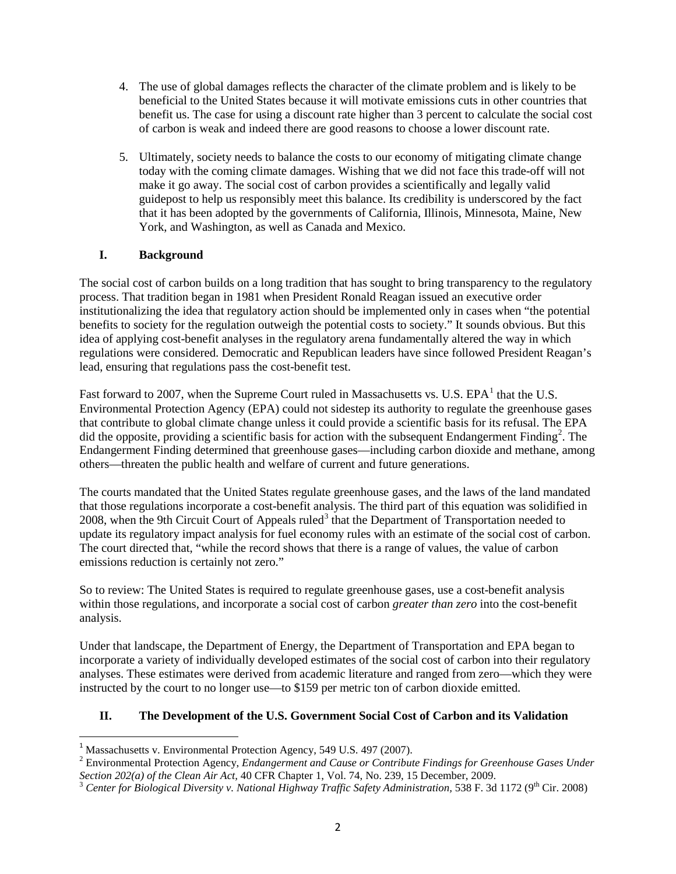- 4. The use of global damages reflects the character of the climate problem and is likely to be beneficial to the United States because it will motivate emissions cuts in other countries that benefit us. The case for using a discount rate higher than 3 percent to calculate the social cost of carbon is weak and indeed there are good reasons to choose a lower discount rate.
- 5. Ultimately, society needs to balance the costs to our economy of mitigating climate change today with the coming climate damages. Wishing that we did not face this trade-off will not make it go away. The social cost of carbon provides a scientifically and legally valid guidepost to help us responsibly meet this balance. Its credibility is underscored by the fact that it has been adopted by the governments of California, Illinois, Minnesota, Maine, New York, and Washington, as well as Canada and Mexico.

## **I. Background**

The social cost of carbon builds on a long tradition that has sought to bring transparency to the regulatory process. That tradition began in 1981 when President Ronald Reagan issued an executive order institutionalizing the idea that regulatory action should be implemented only in cases when "the potential benefits to society for the regulation outweigh the potential costs to society." It sounds obvious. But this idea of applying cost-benefit analyses in the regulatory arena fundamentally altered the way in which regulations were considered. Democratic and Republican leaders have since followed President Reagan's lead, ensuring that regulations pass the cost-benefit test.

Fast forward to 2007, when the Supreme Court ruled in Massachusetts vs. U.S. EPA<sup>[1](#page-1-0)</sup> that the U.S. Environmental Protection Agency (EPA) could not sidestep its authority to regulate the greenhouse gases that contribute to global climate change unless it could provide a scientific basis for its refusal. The EPA did the opposite, providing a scientific basis for action with the subsequent Endangerment Finding<sup>[2](#page-1-1)</sup>. The Endangerment Finding determined that greenhouse gases—including carbon dioxide and methane, among others—threaten the public health and welfare of current and future generations.

The courts mandated that the United States regulate greenhouse gases, and the laws of the land mandated that those regulations incorporate a cost-benefit analysis. The third part of this equation was solidified in 2008, when the 9th Circuit Court of Appeals ruled<sup>[3](#page-1-2)</sup> that the Department of Transportation needed to update its regulatory impact analysis for fuel economy rules with an estimate of the social cost of carbon. The court directed that, "while the record shows that there is a range of values, the value of carbon emissions reduction is certainly not zero."

So to review: The United States is required to regulate greenhouse gases, use a cost-benefit analysis within those regulations, and incorporate a social cost of carbon *greater than zero* into the cost-benefit analysis.

Under that landscape, the Department of Energy, the Department of Transportation and EPA began to incorporate a variety of individually developed estimates of the social cost of carbon into their regulatory analyses. These estimates were derived from academic literature and ranged from zero—which they were instructed by the court to no longer use—to \$159 per metric ton of carbon dioxide emitted.

### **II. The Development of the U.S. Government Social Cost of Carbon and its Validation**

<span id="page-1-1"></span>

<span id="page-1-0"></span><sup>&</sup>lt;sup>1</sup> Massachusetts v. Environmental Protection Agency, 549 U.S. 497 (2007).<br><sup>2</sup> Environmental Protection Agency, *Endangerment and Cause or Contribute Findings for Greenhouse Gases Under Section 202(a) of the Clean Air Act,* 

<span id="page-1-2"></span><sup>&</sup>lt;sup>3</sup> Center for Biological Diversity v. National Highway Traffic Safety Administration, 538 F. 3d 1172 (9<sup>th</sup> Cir. 2008)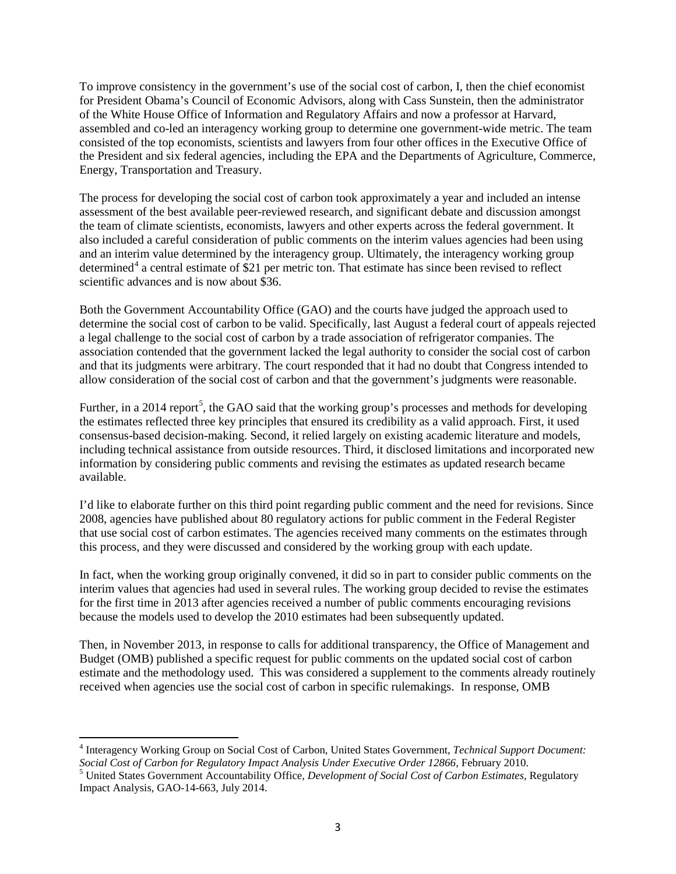To improve consistency in the government's use of the social cost of carbon, I, then the chief economist for President Obama's Council of Economic Advisors, along with Cass Sunstein, then the administrator of the White House Office of Information and Regulatory Affairs and now a professor at Harvard, assembled and co-led an interagency working group to determine one government-wide metric. The team consisted of the top economists, scientists and lawyers from four other offices in the Executive Office of the President and six federal agencies, including the EPA and the Departments of Agriculture, Commerce, Energy, Transportation and Treasury.

The process for developing the social cost of carbon took approximately a year and included an intense assessment of the best available peer-reviewed research, and significant debate and discussion amongst the team of climate scientists, economists, lawyers and other experts across the federal government. It also included a careful consideration of public comments on the interim values agencies had been using and an interim value determined by the interagency group. Ultimately, the interagency working group determined<sup>[4](#page-2-0)</sup> a central estimate of \$21 per metric ton. That estimate has since been revised to reflect scientific advances and is now about \$36.

Both the Government Accountability Office (GAO) and the courts have judged the approach used to determine the social cost of carbon to be valid. Specifically, last August a federal court of appeals rejected a legal challenge to the social cost of carbon by a trade association of refrigerator companies. The association contended that the government lacked the legal authority to consider the social cost of carbon and that its judgments were arbitrary. The court responded that it had no doubt that Congress intended to allow consideration of the social cost of carbon and that the government's judgments were reasonable.

Further, in a 2014 report<sup>[5](#page-2-1)</sup>, the GAO said that the working group's processes and methods for developing the estimates reflected three key principles that ensured its credibility as a valid approach. First, it used consensus-based decision-making. Second, it relied largely on existing academic literature and models, including technical assistance from outside resources. Third, it disclosed limitations and incorporated new information by considering public comments and revising the estimates as updated research became available.

I'd like to elaborate further on this third point regarding public comment and the need for revisions. Since 2008, agencies have published about 80 regulatory actions for public comment in the Federal Register that use social cost of carbon estimates. The agencies received many comments on the estimates through this process, and they were discussed and considered by the working group with each update.

In fact, when the working group originally convened, it did so in part to consider public comments on the interim values that agencies had used in several rules. The working group decided to revise the estimates for the first time in 2013 after agencies received a number of public comments encouraging revisions because the models used to develop the 2010 estimates had been subsequently updated.

Then, in November 2013, in response to calls for additional transparency, the Office of Management and Budget (OMB) published a specific request for public comments on the updated social cost of carbon estimate and the methodology used. This was considered a supplement to the comments already routinely received when agencies use the social cost of carbon in specific rulemakings. In response, OMB

<span id="page-2-0"></span><sup>4</sup> Interagency Working Group on Social Cost of Carbon, United States Government, *Technical Support Document: Social Cost of Carbon for Regulatory Impact Analysis Under Executive Order 12866,* February 2010. <sup>5</sup> United States Government Accountability Office, *Development of Social Cost of Carbon Estimates,* Regulatory

<span id="page-2-1"></span>Impact Analysis, GAO-14-663, July 2014.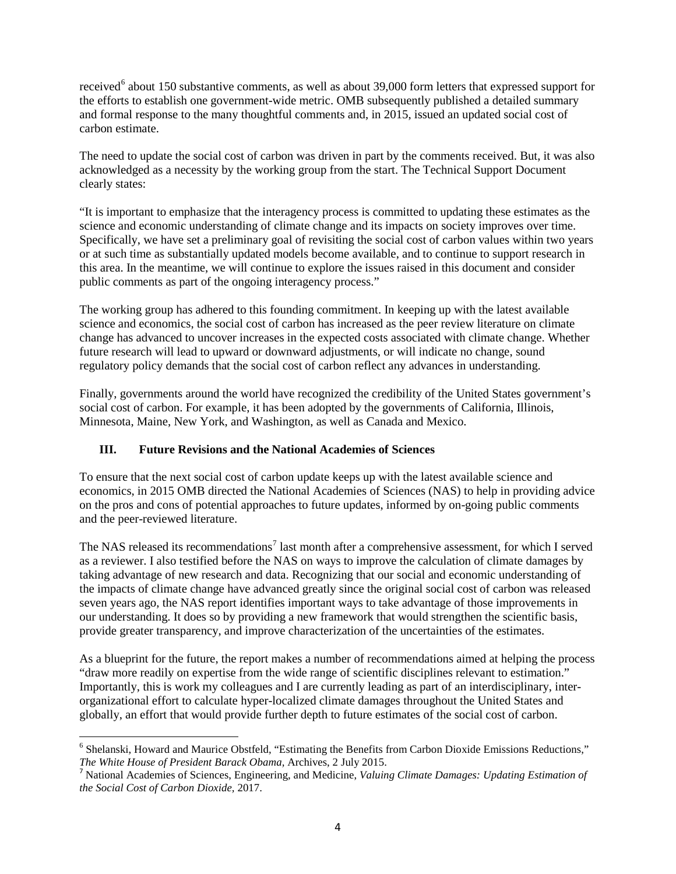received<sup>[6](#page-3-0)</sup> about 150 substantive comments, as well as about 39,000 form letters that expressed support for the efforts to establish one government-wide metric. OMB subsequently published a detailed summary and formal response to the many thoughtful comments and, in 2015, issued an updated social cost of carbon estimate.

The need to update the social cost of carbon was driven in part by the comments received. But, it was also acknowledged as a necessity by the working group from the start. The Technical Support Document clearly states:

"It is important to emphasize that the interagency process is committed to updating these estimates as the science and economic understanding of climate change and its impacts on society improves over time. Specifically, we have set a preliminary goal of revisiting the social cost of carbon values within two years or at such time as substantially updated models become available, and to continue to support research in this area. In the meantime, we will continue to explore the issues raised in this document and consider public comments as part of the ongoing interagency process."

The working group has adhered to this founding commitment. In keeping up with the latest available science and economics, the social cost of carbon has increased as the peer review literature on climate change has advanced to uncover increases in the expected costs associated with climate change. Whether future research will lead to upward or downward adjustments, or will indicate no change, sound regulatory policy demands that the social cost of carbon reflect any advances in understanding.

Finally, governments around the world have recognized the credibility of the United States government's social cost of carbon. For example, it has been adopted by the governments of California, Illinois, Minnesota, Maine, New York, and Washington, as well as Canada and Mexico.

# **III. Future Revisions and the National Academies of Sciences**

To ensure that the next social cost of carbon update keeps up with the latest available science and economics, in 2015 OMB directed the National Academies of Sciences (NAS) to help in providing advice on the pros and cons of potential approaches to future updates, informed by on-going public comments and the peer-reviewed literature.

The NAS released its recommendations<sup>[7](#page-3-1)</sup> last month after a comprehensive assessment, for which I served as a reviewer. I also testified before the NAS on ways to improve the calculation of climate damages by taking advantage of new research and data. Recognizing that our social and economic understanding of the impacts of climate change have advanced greatly since the original social cost of carbon was released seven years ago, the NAS report identifies important ways to take advantage of those improvements in our understanding. It does so by providing a new framework that would strengthen the scientific basis, provide greater transparency, and improve characterization of the uncertainties of the estimates.

As a blueprint for the future, the report makes a number of recommendations aimed at helping the process "draw more readily on expertise from the wide range of scientific disciplines relevant to estimation." Importantly, this is work my colleagues and I are currently leading as part of an interdisciplinary, interorganizational effort to calculate hyper-localized climate damages throughout the United States and globally, an effort that would provide further depth to future estimates of the social cost of carbon.

<span id="page-3-0"></span> $6$  Shelanski, Howard and Maurice Obstfeld, "Estimating the Benefits from Carbon Dioxide Emissions Reductions,"<br>The White House of President Barack Obama, Archives, 2 July 2015.

<span id="page-3-1"></span><sup>&</sup>lt;sup>7</sup> National Academies of Sciences, Engineering, and Medicine, *Valuing Climate Damages: Updating Estimation of the Social Cost of Carbon Dioxide,* 2017.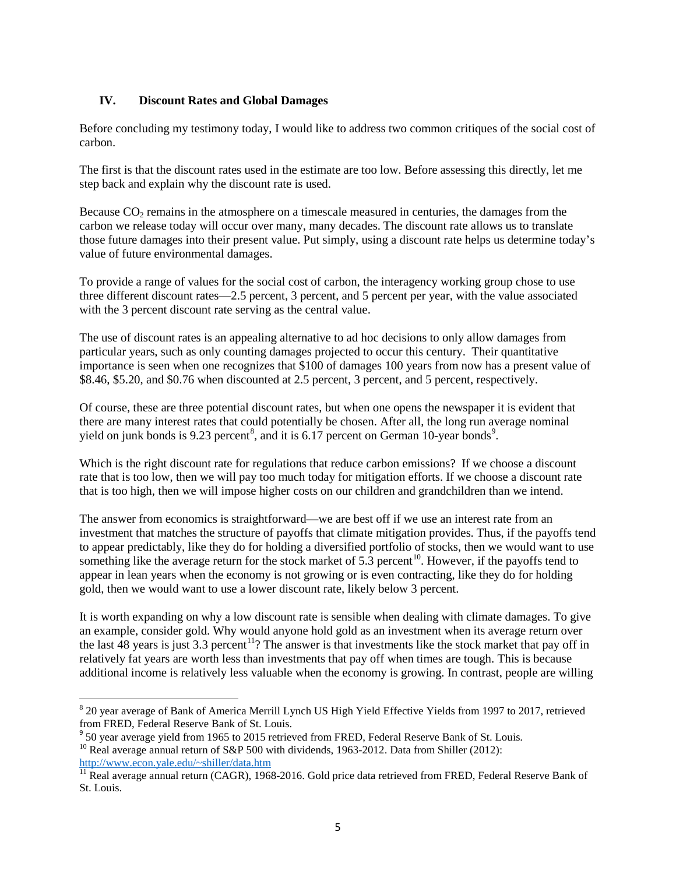### **IV. Discount Rates and Global Damages**

Before concluding my testimony today, I would like to address two common critiques of the social cost of carbon.

The first is that the discount rates used in the estimate are too low. Before assessing this directly, let me step back and explain why the discount rate is used.

Because  $CO<sub>2</sub>$  remains in the atmosphere on a timescale measured in centuries, the damages from the carbon we release today will occur over many, many decades. The discount rate allows us to translate those future damages into their present value. Put simply, using a discount rate helps us determine today's value of future environmental damages.

To provide a range of values for the social cost of carbon, the interagency working group chose to use three different discount rates—2.5 percent, 3 percent, and 5 percent per year, with the value associated with the 3 percent discount rate serving as the central value.

The use of discount rates is an appealing alternative to ad hoc decisions to only allow damages from particular years, such as only counting damages projected to occur this century. Their quantitative importance is seen when one recognizes that \$100 of damages 100 years from now has a present value of \$8.46, \$5.20, and \$0.76 when discounted at 2.5 percent, 3 percent, and 5 percent, respectively.

Of course, these are three potential discount rates, but when one opens the newspaper it is evident that there are many interest rates that could potentially be chosen. After all, the long run average nominal yield on junk bonds is 9.23 percent<sup>[8](#page-4-0)</sup>, and it is 6.17 percent on German 10-year bonds<sup>[9](#page-4-1)</sup>.

Which is the right discount rate for regulations that reduce carbon emissions? If we choose a discount rate that is too low, then we will pay too much today for mitigation efforts. If we choose a discount rate that is too high, then we will impose higher costs on our children and grandchildren than we intend.

The answer from economics is straightforward—we are best off if we use an interest rate from an investment that matches the structure of payoffs that climate mitigation provides. Thus, if the payoffs tend to appear predictably, like they do for holding a diversified portfolio of stocks, then we would want to use something like the average return for the stock market of  $5.\overline{3}$  percent<sup>[10](#page-4-2)</sup>. However, if the payoffs tend to appear in lean years when the economy is not growing or is even contracting, like they do for holding gold, then we would want to use a lower discount rate, likely below 3 percent.

It is worth expanding on why a low discount rate is sensible when dealing with climate damages. To give an example, consider gold. Why would anyone hold gold as an investment when its average return over the last  $\overline{48}$  years is just 3.3 percent<sup>[11](#page-4-3)</sup>? The answer is that investments like the stock market that pay off in relatively fat years are worth less than investments that pay off when times are tough. This is because additional income is relatively less valuable when the economy is growing. In contrast, people are willing

<span id="page-4-2"></span>[http://www.econ.yale.edu/~shiller/data.htm](http://www.econ.yale.edu/%7Eshiller/data.htm)

<span id="page-4-0"></span><sup>&</sup>lt;sup>8</sup> 20 year average of Bank of America Merrill Lynch US High Yield Effective Yields from 1997 to 2017, retrieved

<span id="page-4-1"></span>from FRED, Federal Reserve Bank of St. Louis.<br><sup>9</sup> 50 year average yield from 1965 to 2015 retrieved from FRED, Federal Reserve Bank of St. Louis.<br><sup>10</sup> Real average annual return of S&P 500 with dividends, 1963-2012. Data f

<span id="page-4-3"></span><sup>&</sup>lt;sup>11</sup> Real average annual return (CAGR), 1968-2016. Gold price data retrieved from FRED, Federal Reserve Bank of St. Louis.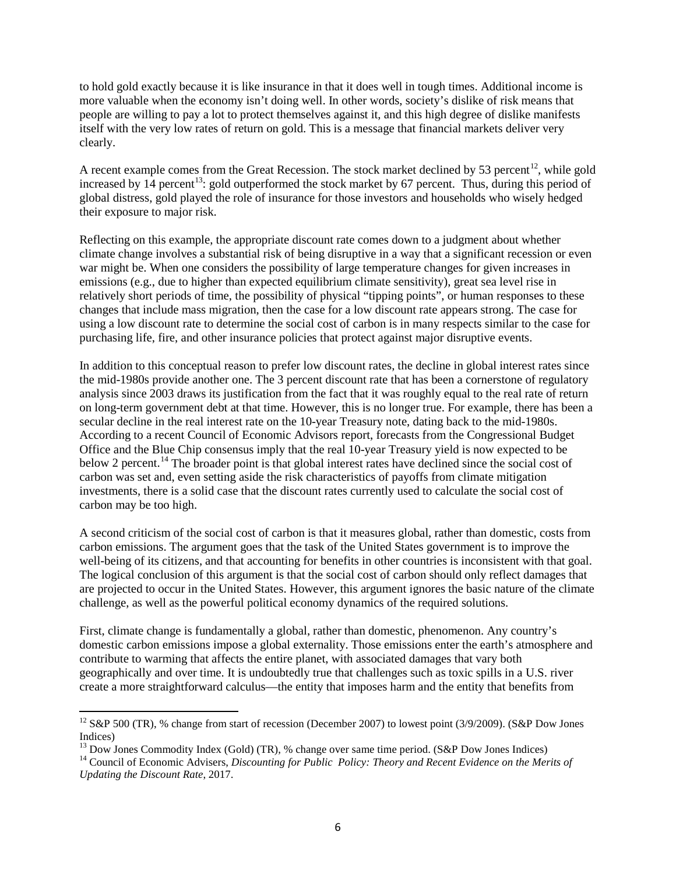to hold gold exactly because it is like insurance in that it does well in tough times. Additional income is more valuable when the economy isn't doing well. In other words, society's dislike of risk means that people are willing to pay a lot to protect themselves against it, and this high degree of dislike manifests itself with the very low rates of return on gold. This is a message that financial markets deliver very clearly.

A recent example comes from the Great Recession. The stock market declined by 53 percent<sup>[12](#page-5-0)</sup>, while gold increased by  $14$  percent<sup>13</sup>: gold outperformed the stock market by 67 percent. Thus, during this period of global distress, gold played the role of insurance for those investors and households who wisely hedged their exposure to major risk.

Reflecting on this example, the appropriate discount rate comes down to a judgment about whether climate change involves a substantial risk of being disruptive in a way that a significant recession or even war might be. When one considers the possibility of large temperature changes for given increases in emissions (e.g., due to higher than expected equilibrium climate sensitivity), great sea level rise in relatively short periods of time, the possibility of physical "tipping points", or human responses to these changes that include mass migration, then the case for a low discount rate appears strong. The case for using a low discount rate to determine the social cost of carbon is in many respects similar to the case for purchasing life, fire, and other insurance policies that protect against major disruptive events.

In addition to this conceptual reason to prefer low discount rates, the decline in global interest rates since the mid-1980s provide another one. The 3 percent discount rate that has been a cornerstone of regulatory analysis since 2003 draws its justification from the fact that it was roughly equal to the real rate of return on long-term government debt at that time. However, this is no longer true. For example, there has been a secular decline in the real interest rate on the 10-year Treasury note, dating back to the mid-1980s. According to a recent Council of Economic Advisors report, forecasts from the Congressional Budget Office and the Blue Chip consensus imply that the real 10-year Treasury yield is now expected to be below 2 percent.<sup>[14](#page-5-2)</sup> The broader point is that global interest rates have declined since the social cost of carbon was set and, even setting aside the risk characteristics of payoffs from climate mitigation investments, there is a solid case that the discount rates currently used to calculate the social cost of carbon may be too high.

A second criticism of the social cost of carbon is that it measures global, rather than domestic, costs from carbon emissions. The argument goes that the task of the United States government is to improve the well-being of its citizens, and that accounting for benefits in other countries is inconsistent with that goal. The logical conclusion of this argument is that the social cost of carbon should only reflect damages that are projected to occur in the United States. However, this argument ignores the basic nature of the climate challenge, as well as the powerful political economy dynamics of the required solutions.

First, climate change is fundamentally a global, rather than domestic, phenomenon. Any country's domestic carbon emissions impose a global externality. Those emissions enter the earth's atmosphere and contribute to warming that affects the entire planet, with associated damages that vary both geographically and over time. It is undoubtedly true that challenges such as toxic spills in a U.S. river create a more straightforward calculus—the entity that imposes harm and the entity that benefits from

<span id="page-5-0"></span><sup>&</sup>lt;sup>12</sup> S&P 500 (TR), % change from start of recession (December 2007) to lowest point (3/9/2009). (S&P Dow Jones Indices)<br><sup>13</sup> Dow Jones Commodity Index (Gold) (TR), % change over same time period. (S&P Dow Jones Indices)

<span id="page-5-1"></span>

<span id="page-5-2"></span><sup>&</sup>lt;sup>14</sup> Council of Economic Advisers, *Discounting for Public Policy: Theory and Recent Evidence on the Merits of Updating the Discount Rate*, 2017.